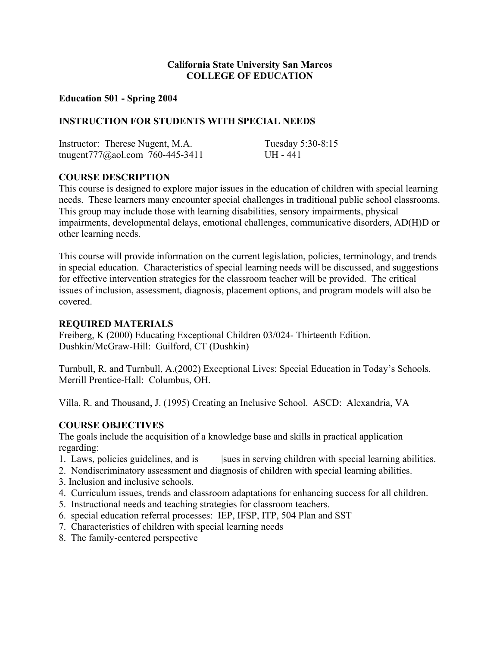# **California State University San Marcos COLLEGE OF EDUCATION**

#### **Education 501 - Spring 2004**

## **INSTRUCTION FOR STUDENTS WITH SPECIAL NEEDS**

| Instructor: Therese Nugent, M.A. | Tuesday 5:30-8:15 |
|----------------------------------|-------------------|
| tnugent777@aol.com 760-445-3411  | $I$ IH - 441      |

## **COURSE DESCRIPTION**

This course is designed to explore major issues in the education of children with special learning needs. These learners many encounter special challenges in traditional public school classrooms. This group may include those with learning disabilities, sensory impairments, physical impairments, developmental delays, emotional challenges, communicative disorders, AD(H)D or other learning needs.

This course will provide information on the current legislation, policies, terminology, and trends in special education. Characteristics of special learning needs will be discussed, and suggestions for effective intervention strategies for the classroom teacher will be provided. The critical issues of inclusion, assessment, diagnosis, placement options, and program models will also be covered.

#### **REQUIRED MATERIALS**

Freiberg, K (2000) Educating Exceptional Children 03/024- Thirteenth Edition. Dushkin/McGraw-Hill: Guilford, CT (Dushkin)

Turnbull, R. and Turnbull, A.(2002) Exceptional Lives: Special Education in Today's Schools. Merrill Prentice-Hall: Columbus, OH.

Villa, R. and Thousand, J. (1995) Creating an Inclusive School. ASCD: Alexandria, VA

#### **COURSE OBJECTIVES**

The goals include the acquisition of a knowledge base and skills in practical application regarding:

- 1. Laws, policies guidelines, and is sues in serving children with special learning abilities.
- 2. Nondiscriminatory assessment and diagnosis of children with special learning abilities.
- 3. Inclusion and inclusive schools.
- 4. Curriculum issues, trends and classroom adaptations for enhancing success for all children.
- 5. Instructional needs and teaching strategies for classroom teachers.
- 6. special education referral processes: IEP, IFSP, ITP, 504 Plan and SST
- 7. Characteristics of children with special learning needs
- 8. The family-centered perspective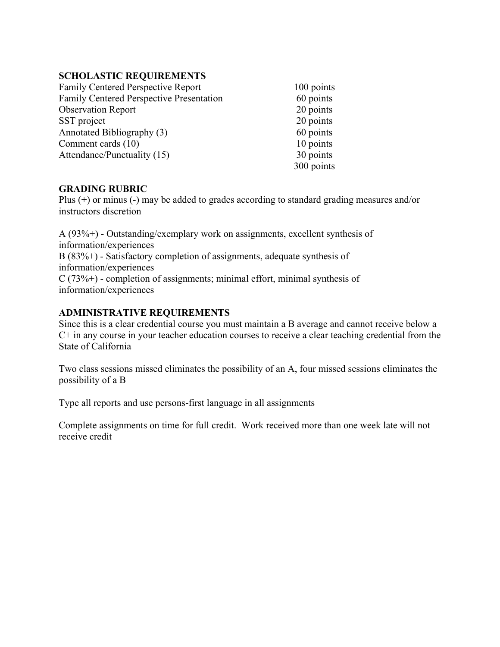# **SCHOLASTIC REQUIREMENTS**

| <b>Family Centered Perspective Report</b> | 100 points |
|-------------------------------------------|------------|
| Family Centered Perspective Presentation  | 60 points  |
| <b>Observation Report</b>                 | 20 points  |
| SST project                               | 20 points  |
| Annotated Bibliography (3)                | 60 points  |
| Comment cards (10)                        | 10 points  |
| Attendance/Punctuality (15)               | 30 points  |
|                                           | 300 points |

# **GRADING RUBRIC**

Plus (+) or minus (-) may be added to grades according to standard grading measures and/or instructors discretion

A (93%+) - Outstanding/exemplary work on assignments, excellent synthesis of information/experiences B (83%+) - Satisfactory completion of assignments, adequate synthesis of information/experiences  $C(73\%+)$  - completion of assignments; minimal effort, minimal synthesis of information/experiences

# **ADMINISTRATIVE REQUIREMENTS**

Since this is a clear credential course you must maintain a B average and cannot receive below a C+ in any course in your teacher education courses to receive a clear teaching credential from the State of California

Two class sessions missed eliminates the possibility of an A, four missed sessions eliminates the possibility of a B

Type all reports and use persons-first language in all assignments

Complete assignments on time for full credit. Work received more than one week late will not receive credit